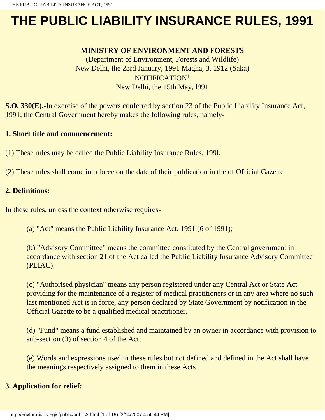# **THE PUBLIC LIABILITY INSURANCE RULES, 1991**

#### **MINISTRY OF ENVIRONMENT AND FORESTS**

(Department of Environment, Forests and Wildlife) New Delhi, the 23rd January, 1991 Magha, 3, 1912 (Saka) NOTIFICATION1 New Delhi, the 15th May, 1991

**S.O. 330(E).-**In exercise of the powers conferred by section 23 of the Public Liability Insurance Act, 1991, the Central Government hereby makes the following rules, namely-

#### **1. Short title and commencement:**

(1) These rules may be called the Public Liability Insurance Rules, 199l.

(2) These rules shall come into force on the date of their publication in the of Official Gazette

### **2. Definitions:**

In these rules, unless the context otherwise requires-

(a) "Act" means the Public Liability Insurance Act, 1991 (6 of 1991);

(b) "Advisory Committee" means the committee constituted by the Central government in accordance with section 21 of the Act called the Public Liability Insurance Advisory Committee (PLIAC);

(c) "Authorised physician" means any person registered under any Central Act or State Act providing for the maintenance of a register of medical practitioners or in any area where no such last mentioned Act is in force, any person declared by State Government by notification in the Official Gazette to be a qualified medical practitioner,

(d) "Fund" means a fund established and maintained by an owner in accordance with provision to sub-section (3) of section 4 of the Act;

(e) Words and expressions used in these rules but not defined and defined in the Act shall have the meanings respectively assigned to them in these Acts

## **3. Application for relief:**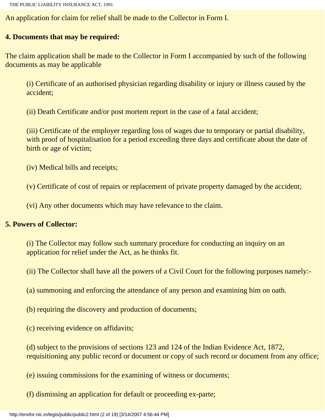An application for claim for relief shall be made to the Collector in Form I.

### **4. Documents that may be required:**

The claim application shall be made to the Collector in Form I accompanied by such of the following documents as may be applicable

(i) Certificate of an authorised physician regarding disability or injury or illness caused by the accident;

(ii) Death Certificate and/or post mortem report in the case of a fatal accident;

(iii) Certificate of the employer regarding loss of wages due to temporary or partial disability, with proof of hospitalisation for a period exceeding three days and certificate about the date of birth or age of victim;

(iv) Medical bills and receipts;

(v) Certificate of cost of repairs or replacement of private property damaged by the accident;

(vi) Any other documents which may have relevance to the claim.

#### **5. Powers of Collector:**

(i) The Collector may follow such summary procedure for conducting an inquiry on an application for relief under the Act, as he thinks fit.

(ii) The Collector shall have all the powers of a Civil Court for the following purposes namely:-

(a) summoning and enforcing the attendance of any person and examining him on oath.

(b) requiring the discovery and production of documents;

(c) receiving evidence on affidavits;

(d) subject to the provisions of sections 123 and 124 of the Indian Evidence Act, 1872, requisitioning any public record or document or copy of such record or document from any office;

(e) issuing commissions for the examining of witness or documents;

(f) dismissing an application for default or proceeding ex-parte;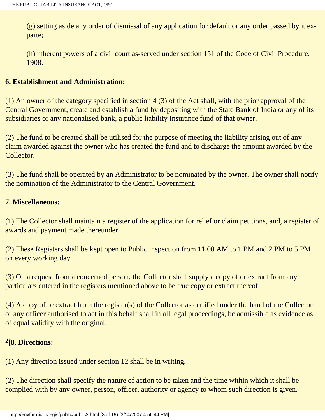(g) setting aside any order of dismissal of any application for default or any order passed by it exparte;

(h) inherent powers of a civil court as-served under section 151 of the Code of Civil Procedure, 1908.

#### **6. Establishment and Administration:**

(1) An owner of the category specified in section 4 (3) of the Act shall, with the prior approval of the Central Government, create and establish a fund by depositing with the State Bank of India or any of its subsidiaries or any nationalised bank, a public liability Insurance fund of that owner.

(2) The fund to be created shall be utilised for the purpose of meeting the liability arising out of any claim awarded against the owner who has created the fund and to discharge the amount awarded by the Collector.

(3) The fund shall be operated by an Administrator to be nominated by the owner. The owner shall notify the nomination of the Administrator to the Central Government.

#### **7. Miscellaneous:**

(1) The Collector shall maintain a register of the application for relief or claim petitions, and, a register of awards and payment made thereunder.

(2) These Registers shall be kept open to Public inspection from 11.00 AM to 1 PM and 2 PM to 5 PM on every working day.

(3) On a request from a concerned person, the Collector shall supply a copy of or extract from any particulars entered in the registers mentioned above to be true copy or extract thereof.

(4) A copy of or extract from the register(s) of the Collector as certified under the hand of the Collector or any officer authorised to act in this behalf shall in all legal proceedings, bc admissible as evidence as of equal validity with the original.

## **2[8. Directions:**

(1) Any direction issued under section 12 shall be in writing.

(2) The direction shall specify the nature of action to be taken and the time within which it shall be complied with by any owner, person, officer, authority or agency to whom such direction is given.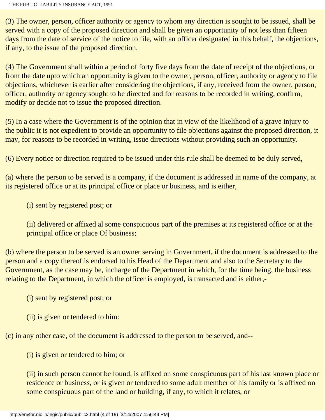(3) The owner, person, officer authority or agency to whom any direction is sought to be issued, shall be served with a copy of the proposed direction and shall be given an opportunity of not less than fifteen days from the date of service of the notice to file, with an officer designated in this behalf, the objections, if any, to the issue of the proposed direction.

(4) The Government shall within a period of forty five days from the date of receipt of the objections, or from the date upto which an opportunity is given to the owner, person, officer, authority or agency to file objections, whichever is earlier after considering the objections, if any, received from the owner, person, officer, authority or agency sought to be directed and for reasons to be recorded in writing, confirm, modify or decide not to issue the proposed direction.

(5) In a case where the Government is of the opinion that in view of the likelihood of a grave injury to the public it is not expedient to provide an opportunity to file objections against the proposed direction, it may, for reasons to be recorded in writing, issue directions without providing such an opportunity.

(6) Every notice or direction required to be issued under this rule shall be deemed to be duly served,

(a) where the person to be served is a company, if the document is addressed in name of the company, at its registered office or at its principal office or place or business, and is either,

(i) sent by registered post; or

(ii) delivered or affixed al some conspicuous part of the premises at its registered office or at the principal office or place Of business;

(b) where the person to be served is an owner serving in Government, if the document is addressed to the person and a copy thereof is endorsed to his Head of the Department and also to the Secretary to the Government, as the case may be, incharge of the Department in which, for the time being, the business relating to the Department, in which the officer is employed, is transacted and is either,-

(i) sent by registered post; or

(ii) is given or tendered to him:

(c) in any other case, of the document is addressed to the person to be served, and--

(i) is given or tendered to him; or

(ii) in such person cannot be found, is affixed on some conspicuous part of his last known place or residence or business, or is given or tendered to some adult member of his family or is affixed on some conspicuous part of the land or building, if any, to which it relates, or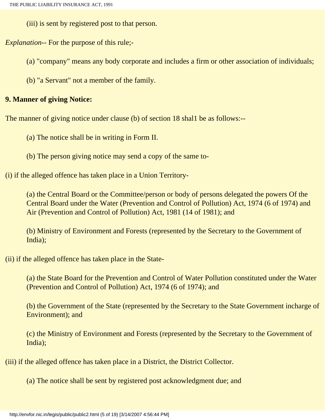(iii) is sent by registered post to that person.

*Explanation*-- For the purpose of this rule;-

(a) "company" means any body corporate and includes a firm or other association of individuals;

(b) "a Servant" not a member of the family.

#### **9. Manner of giving Notice:**

The manner of giving notice under clause (b) of section 18 shall be as follows:--

(a) The notice shall be in writing in Form II.

(b) The person giving notice may send a copy of the same to-

(i) if the alleged offence has taken place in a Union Territory-

(a) the Central Board or the Committee/person or body of persons delegated the powers Of the Central Board under the Water (Prevention and Control of Pollution) Act, 1974 (6 of 1974) and Air (Prevention and Control of Pollution) Act, 1981 (14 of 1981); and

(b) Ministry of Environment and Forests (represented by the Secretary to the Government of India);

(ii) if the alleged offence has taken place in the State-

(a) the State Board for the Prevention and Control of Water Pollution constituted under the Water (Prevention and Control of Pollution) Act, 1974 (6 of 1974); and

(b) the Government of the State (represented by the Secretary to the State Government incharge of Environment); and

(c) the Ministry of Environment and Forests (represented by the Secretary to the Government of India);

(iii) if the alleged offence has taken place in a District, the District Collector.

(a) The notice shall be sent by registered post acknowledgment due; and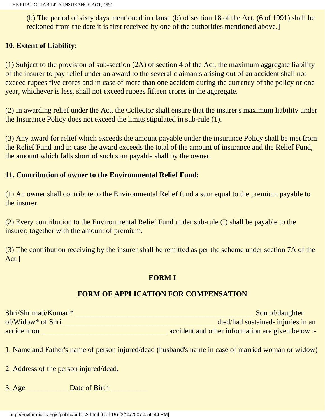(b) The period of sixty days mentioned in clause (b) of section 18 of the Act, (6 of 1991) shall be reckoned from the date it is first received by one of the authorities mentioned above.]

#### **10. Extent of Liability:**

(1) Subject to the provision of sub-section (2A) of section 4 of the Act, the maximum aggregate liability of the insurer to pay relief under an award to the several claimants arising out of an accident shall not exceed rupees five crores and in case of more than one accident during the currency of the policy or one year, whichever is less, shall not exceed rupees fifteen crores in the aggregate.

(2) In awarding relief under the Act, the Collector shall ensure that the insurer's maximum liability under the Insurance Policy does not exceed the limits stipulated in sub-rule (1).

(3) Any award for relief which exceeds the amount payable under the insurance Policy shall be met from the Relief Fund and in case the award exceeds the total of the amount of insurance and the Relief Fund, the amount which falls short of such sum payable shall by the owner.

## **11. Contribution of owner to the Environmental Relief Fund:**

(1) An owner shall contribute to the Environmental Relief fund a sum equal to the premium payable to the insurer

(2) Every contribution to the Environmental Relief Fund under sub-rule (I) shall be payable to the insurer, together with the amount of premium.

(3) The contribution receiving by the insurer shall be remitted as per the scheme under section 7A of the Act.]

## **FORM I**

## **FORM OF APPLICATION FOR COMPENSATION**

| Shri/Shrimati/Kumari* | Son of/daughter                                   |
|-----------------------|---------------------------------------------------|
| of/Widow* of Shri     | died/had sustained- injuries in an                |
| accident on           | accident and other information are given below :- |

1. Name and Father's name of person injured/dead (husband's name in case of married woman or widow)

2. Address of the person injured/dead.

3. Age \_\_\_\_\_\_\_\_\_\_\_ Date of Birth \_\_\_\_\_\_\_\_\_\_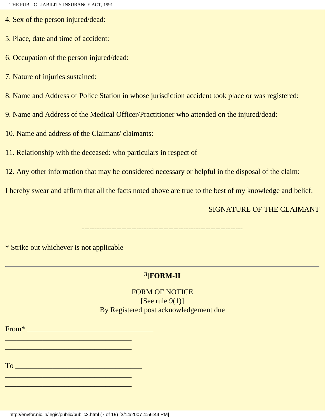THE PUBLIC LIABILITY INSURANCE ACT, 1991

- 4. Sex of the person injured/dead:
- 5. Place, date and time of accident:
- 6. Occupation of the person injured/dead:
- 7. Nature of injuries sustained:
- 8. Name and Address of Police Station in whose jurisdiction accident took place or was registered:
- 9. Name and Address of the Medical Officer/Practitioner who attended on the injured/dead:
- 10. Name and address of the Claimant/ claimants:
- 11. Relationship with the deceased: who particulars in respect of
- 12. Any other information that may be considered necessary or helpful in the disposal of the claim:

I hereby swear and affirm that all the facts noted above are true to the best of my knowledge and belief.

SIGNATURE OF THE CLAIMANT

-----------------------------------------------------------------

\* Strike out whichever is not applicable

\_\_\_\_\_\_\_\_\_\_\_\_\_\_\_\_\_\_\_\_\_\_\_\_\_\_\_\_\_\_\_\_\_\_ \_\_\_\_\_\_\_\_\_\_\_\_\_\_\_\_\_\_\_\_\_\_\_\_\_\_\_\_\_\_\_\_\_\_

\_\_\_\_\_\_\_\_\_\_\_\_\_\_\_\_\_\_\_\_\_\_\_\_\_\_\_\_\_\_\_\_\_\_

\_\_\_\_\_\_\_\_\_\_\_\_\_\_\_\_\_\_\_\_\_\_\_\_\_\_\_\_\_\_\_\_\_\_

#### **3[FORM-II**

### FORM OF NOTICE [See rule  $9(1)$ ] By Registered post acknowledgement due

From\* \_\_\_\_\_\_\_\_\_\_\_\_\_\_\_\_\_\_\_\_\_\_\_\_\_\_\_\_\_\_\_\_\_\_

To \_\_\_\_\_\_\_\_\_\_\_\_\_\_\_\_\_\_\_\_\_\_\_\_\_\_\_\_\_\_\_\_\_\_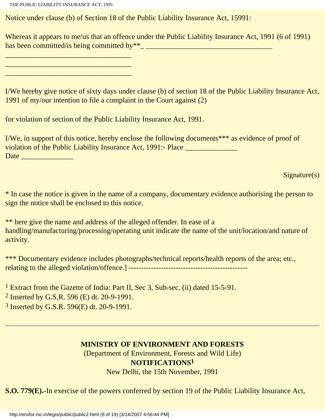THE PUBLIC LIABILITY INSURANCE ACT, 1991

\_\_\_\_\_\_\_\_\_\_\_\_\_\_\_\_\_\_\_\_\_\_\_\_\_\_\_\_\_\_\_\_\_\_ \_\_\_\_\_\_\_\_\_\_\_\_\_\_\_\_\_\_\_\_\_\_\_\_\_\_\_\_\_\_\_\_\_\_ \_\_\_\_\_\_\_\_\_\_\_\_\_\_\_\_\_\_\_\_\_\_\_\_\_\_\_\_\_\_\_\_\_\_

Notice under clause (b) of Section 18 of the Public Liability Insurance Act, 15991:

Whereas it appears to me/us that an offence under the Public Liability Insurance Act, 1991 (6 of 1991) has been committed/is being committed by\*\*\_

I/We hereby give notice of sixty days under clause (b) of section 18 of the Public Liability Insurance Act, 1991 of my/our intention to file a complaint in the Court against (2)

for violation of section of the Public Liability Insurance Act, 1991.

| I/We, in support of this notice, hereby enclose the following documents <sup>***</sup> as evidence of proof of |
|----------------------------------------------------------------------------------------------------------------|
| violation of the Public Liability Insurance Act, 1991:- Place                                                  |
| Date                                                                                                           |

Signature(s)

\* In case the notice is given in the name of a company, documentary evidence authorising the person to sign the notice shall be enclosed to this notice.

\*\* here give the name and address of the alleged offender. In ease of a handling/manufacturing/processing/operating unit indicate the name of the unit/location/and nature of activity.

\*\*\* Documentary evidence includes photographs/technical reports/health reports of the area; etc., relating to the alleged violation/offence.] ------------------------------------------------

1 Extract from the Gazette of India: Part II, Sec 3, Sub-sec. (ii) dated 15-5-91.

<sup>2</sup> Inserted by G.S.R. 596 (E) dt. 20-9-1991.

3 Inserted by G.S.R. 596(E) dt. 20-9-1991.

## **MINISTRY OF ENVIRONMENT AND FORESTS**

(Department of Environment, Forests and Wild Life) **NOTIFICATIONS1**

New Delhi, the 15th November, 1991

**S.O. 779(E).-**In exercise of the powers conferred by section 19 of the Public Liability Insurance Act,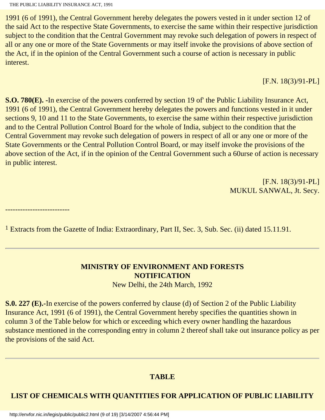--------------------------

1991 (6 of 1991), the Central Government hereby delegates the powers vested in it under section 12 of the said Act to the respective State Governments, to exercise the same within their respective jurisdiction subject to the condition that the Central Government may revoke such delegation of powers in respect of all or any one or more of the State Governments or may itself invoke the provisions of above section of the Act, if in the opinion of the Central Government such a course of action is necessary in public interest.

[F.N. 18(3)/91-PL]

**S.O. 780(E). -**In exercise of the powers conferred by section 19 of' the Public Liability Insurance Act, 1991 (6 of 1991), the Central Government hereby delegates the powers and functions vested in it under sections 9, 10 and 11 to the State Governments, to exercise the same within their respective jurisdiction and to the Central Pollution Control Board for the whole of India, subject to the condition that the Central Government may revoke such delegation of powers in respect of all or any one or more of the State Governments or the Central Pollution Control Board, or may itself invoke the provisions of the above section of the Act, if in the opinion of the Central Government such a 60urse of action is necessary in public interest.

> [F.N. 18(3)/91-PL] MUKUL SANWAL, Jt. Secy.

1 Extracts from the Gazette of India: Extraordinary, Part II, Sec. 3, Sub. Sec. (ii) dated 15.11.91.

#### **MINISTRY OF ENVIRONMENT AND FORESTS NOTIFICATION**

New Delhi, the 24th March, 1992

**S.0. 227 (E).-**In exercise of the powers conferred by clause (d) of Section 2 of the Public Liability Insurance Act, 1991 (6 of 1991), the Central Government hereby specifies the quantities shown in column 3 of the Table below for which or exceeding which every owner handling the hazardous substance mentioned in the corresponding entry in column 2 thereof shall take out insurance policy as per the provisions of the said Act.

## **TABLE**

#### **LIST OF CHEMICALS WITH QUANTITIES FOR APPLICATION OF PUBLIC LIABILITY**

http://envfor.nic.in/legis/public/public2.html (9 of 19) [3/14/2007 4:56:44 PM]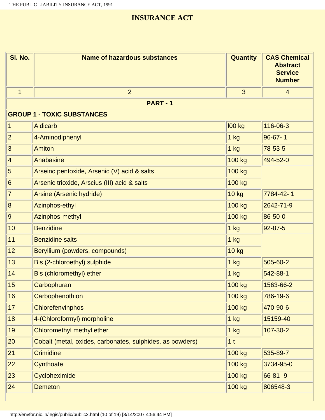## **INSURANCE ACT**

| SI. No.         | <b>Name of hazardous substances</b>                       | <b>Quantity</b> | <b>CAS Chemical</b><br><b>Abstract</b><br><b>Service</b><br><b>Number</b> |
|-----------------|-----------------------------------------------------------|-----------------|---------------------------------------------------------------------------|
| $\mathbf{1}$    | $\overline{2}$                                            | 3               | $\overline{4}$                                                            |
|                 | <b>PART - 1</b>                                           |                 |                                                                           |
|                 | <b>GROUP 1 - TOXIC SUBSTANCES</b>                         |                 |                                                                           |
| $\mathbf 1$     | <b>Aldicarb</b>                                           | <b>100 kg</b>   | 116-06-3                                                                  |
| $\overline{2}$  | 4-Aminodiphenyl                                           | $1$ kg          | $96-67-1$                                                                 |
| 3               | <b>Amiton</b>                                             | $1$ kg          | 78-53-5                                                                   |
| $\overline{4}$  | Anabasine                                                 | 100 kg          | 494-52-0                                                                  |
| 5               | Arseinc pentoxide, Arsenic (V) acid & salts               | 100 kg          |                                                                           |
| $6\phantom{a}6$ | Arsenic trioxide, Arscius (III) acid & salts              | 100 kg          |                                                                           |
| $\overline{7}$  | Arsine (Arsenic hydride)                                  | <b>10 kg</b>    | 7784-42-1                                                                 |
| 8               | Azinphos-ethyl                                            | 100 kg          | 2642-71-9                                                                 |
| 9               | Azinphos-methyl                                           | 100 kg          | 86-50-0                                                                   |
| 10              | <b>Benzidine</b>                                          | $1$ kg          | $92 - 87 - 5$                                                             |
| 11              | <b>Benzidine salts</b>                                    | $1$ kg          |                                                                           |
| 12              | Beryllium (powders, compounds)                            | <b>10 kg</b>    |                                                                           |
| 13              | Bis (2-chloroethyl) sulphide                              | $1$ kg          | 505-60-2                                                                  |
| 14              | Bis (chloromethyl) ether                                  | $1$ kg          | 542-88-1                                                                  |
| 15              | Carbophuran                                               | 100 kg          | 1563-66-2                                                                 |
| 16              | Carbophenothion                                           | 100 kg          | 786-19-6                                                                  |
| 17              | Chlorefenvinphos                                          | 100 kg          | 470-90-6                                                                  |
| 18              | 4-(Chloroformyl) morpholine                               | $1$ kg          | 15159-40                                                                  |
| 19              | Chloromethyl methyl ether                                 | $1$ kg          | 107-30-2                                                                  |
| 20              | Cobalt (metal, oxides, carbonates, sulphides, as powders) | 1 <sub>t</sub>  |                                                                           |
| 21              | <b>Crimidine</b>                                          | 100 kg          | 535-89-7                                                                  |
| 22              | Cynthoate                                                 | 100 kg          | 3734-95-0                                                                 |
| 23              | Cycloheximide                                             | 100 kg          | $66 - 81 - 9$                                                             |
| 24              | <b>Demeton</b>                                            | 100 kg          | 806548-3                                                                  |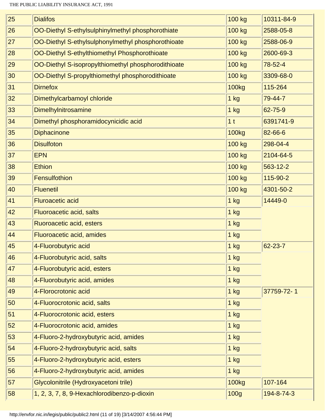| 25 | <b>Dialifos</b>                                     | 100 kg         | 10311-84-9 |
|----|-----------------------------------------------------|----------------|------------|
| 26 | OO-Diethyl S-ethylsulphinylmethyl phosphorothiate   | 100 kg         | 2588-05-8  |
| 27 | OO-Diethyl S-ethylsulphonylmethyl phosphorothioate  | 100 kg         | 2588-06-9  |
| 28 | OO-Diethyl S-ethylthiomethyl Phosphorothioate       | 100 kg         | 2600-69-3  |
| 29 | OO-Diethyl S-isopropylthiomethyl phosphorodithioate | 100 kg         | 78-52-4    |
| 30 | OO-Diethyl S-propylthiomethyl phosphorodithioate    | 100 kg         | 3309-68-0  |
| 31 | <b>Dirnefox</b>                                     | <b>100kg</b>   | 115-264    |
| 32 | Dimethylcarbamoyl chloride                          | $1$ kg         | 79-44-7    |
| 33 | <b>Dimelhylnitrosamine</b>                          | $1$ kg         | 62-75-9    |
| 34 | Dimethyl phosphoramidocynicidic acid                | 1 <sub>t</sub> | 6391741-9  |
| 35 | <b>Diphacinone</b>                                  | <b>100kg</b>   | 82-66-6    |
| 36 | <b>Disulfoton</b>                                   | 100 kg         | 298-04-4   |
| 37 | <b>EPN</b>                                          | 100 kg         | 2104-64-5  |
| 38 | <b>Ethion</b>                                       | 100 kg         | 563-12-2   |
| 39 | <b>Fensulfothion</b>                                | 100 kg         | 115-90-2   |
| 40 | <b>Fluenetil</b>                                    | 100 kg         | 4301-50-2  |
| 41 | <b>Fluroacetic acid</b>                             | $1$ kg         | 14449-0    |
| 42 | <b>Fluoroacetic acid, salts</b>                     | $1$ kg         |            |
| 43 | Ruoroacetic acid, esters                            | $1$ kg         |            |
| 44 | Fluoroacetic acid, amides                           | $1$ kg         |            |
| 45 | 4-Fluorobutyric acid                                | $1$ kg         | 62-23-7    |
| 46 | 4-Fluorobutyric acid, salts                         | $1$ kg         |            |
| 47 | 4-Fluorobutyric acid, esters                        | $1$ kg         |            |
| 48 | 4-Fluorobutyric acid, amides                        | $1$ kg         |            |
| 49 | 4-Florocrotonic acid                                | $1$ kg         | 37759-72-1 |
| 50 | 4-Fluorocrotonic acid, salts                        | $1$ kg         |            |
| 51 | 4-Fluorocrotonic acid, esters                       | $1$ kg         |            |
| 52 | 4-Fluorocrotonic acid, amides                       | $1$ kg         |            |
| 53 | 4-Fluoro-2-hydroxybutyric acid, amides              | $1$ kg         |            |
| 54 | 4-Fluoro-2-hydroxybutyric acid, salts               | $1$ kg         |            |
| 55 | 4-Fluoro-2-hydroxybutyric acid, esters              | $1$ kg         |            |
| 56 | 4-Fluoro-2-hydroxybutyric acid, amides              | $1$ kg         |            |
| 57 | Glycolonitrile (Hydroxyacetoni trile)               | <b>100kg</b>   | 107-164    |
| 58 | 1, 2, 3, 7, 8, 9-Hexachlorodibenzo-p-dioxin         | 100g           | 194-8-74-3 |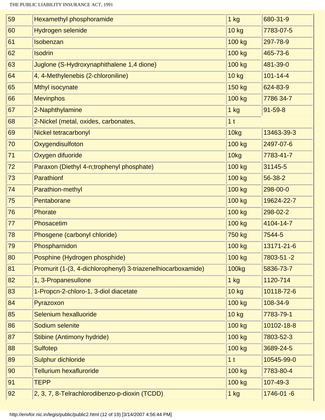| 59 | Hexamethyl phosphoramide                                     | $1$ kg         | 680-31-9       |
|----|--------------------------------------------------------------|----------------|----------------|
| 60 | <b>Hydrogen selenide</b>                                     | <b>10 kg</b>   | 7783-07-5      |
| 61 | Isobenzan                                                    | 100 kg         | 297-78-9       |
| 62 | <b>Isodrin</b>                                               | 100 kg         | 465-73-6       |
| 63 | Juglone (S-Hydroxynaphithalene 1,4 dione)                    | 100 kg         | 481-39-0       |
| 64 | 4, 4-Methylenebis (2-chloroniline)                           | <b>10 kg</b>   | $101 - 14 - 4$ |
| 65 | Mthyl isocynate                                              | 150 kg         | 624-83-9       |
| 66 | <b>Mevinphos</b>                                             | 100 kg         | 7786 34-7      |
| 67 | 2-Naphthylamine                                              | $1$ kg         | $91 - 59 - 8$  |
| 68 | 2-Nickel (metal, oxides, carbonates,                         | 1 <sub>t</sub> |                |
| 69 | <b>Nickel tetracarbonyl</b>                                  | 10kg           | 13463-39-3     |
| 70 | Oxygendisulfoton                                             | 100 kg         | 2497-07-6      |
| 71 | Oxygen difuoride                                             | 10kg           | 7783-41-7      |
| 72 | Paraxon (Diethyl 4-n;trophenyl phosphate)                    | 100 kg         | 31145-5        |
| 73 | Parathionf                                                   | 100 kg         | 56-38-2        |
| 74 | Parathion-methyl                                             | 100 kg         | 298-00-0       |
| 75 | Pentaborane                                                  | 100 kg         | 19624-22-7     |
| 76 | <b>Phorate</b>                                               | 100 kg         | 298-02-2       |
| 77 | Phosacetim                                                   | 100 kg         | 4104-14-7      |
| 78 | Phosgene (carbonyl chloride)                                 | 750 kg         | 7544-5         |
| 79 | Phospharnidon                                                | 100 kg         | 13171-21-6     |
| 80 | Posphine (Hydrogen phosphide)                                | 100 kg         | 7803-51-2      |
| 81 | Promurit (1-(3, 4-dichlorophenyl) 3-triazenelhiocarboxamide) | <b>100kg</b>   | 5836-73-7      |
| 82 | 1, 3-Propanesullone                                          | $1$ kg         | 1120-714       |
| 83 | 1-Propcn-2-chloro-1, 3-diol diacetate                        | <b>10 kg</b>   | 10118-72-6     |
| 84 | Pyrazoxon                                                    | 100 kg         | 108-34-9       |
| 85 | Selenium hexalluoride                                        | <b>10 kg</b>   | 7783-79-1      |
| 86 | Sodium selenite                                              | 100 kg         | 10102-18-8     |
| 87 | Stibine (Antimony hydride)                                   | 100 kg         | 7803-52-3      |
| 88 | <b>Sulfotep</b>                                              | 100 kg         | 3689-24-5      |
| 89 | Sulphur dichloride                                           | 1 <sub>t</sub> | 10545-99-0     |
| 90 | <b>Tellurium hexafluroride</b>                               | 100 kg         | 7783-80-4      |
| 91 | <b>TEPP</b>                                                  | 100 kg         | $107 - 49 - 3$ |
| 92 | 2, 3, 7, 8-Telrachlorodibenzo-p-dioxin (TCDD)                | $1$ kg         | 1746-01-6      |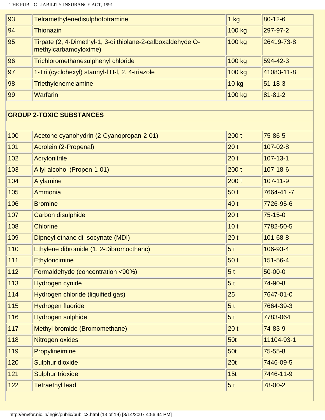| 93  |                                                                                      |                  | $80 - 12 - 6$  |
|-----|--------------------------------------------------------------------------------------|------------------|----------------|
|     | Telramethylenedisulphototramine                                                      | $1$ kg           |                |
| 94  | <b>Thionazin</b>                                                                     | 100 kg           | 297-97-2       |
| 95  | Tirpate (2, 4-Dimethyl-1, 3-di thiolane-2-calboxaldehyde O-<br>methylcarbamoyloxime) | 100 kg           | 26419-73-8     |
| 96  | Trichloromethanesulphenyl chloride                                                   | 100 kg           | 594-42-3       |
| 97  | 1-Tri (cyclohexyl) stannyl-l H-l, 2, 4-triazole                                      | 100 kg           | 41083-11-8     |
| 98  | <b>Triethylenemelamine</b>                                                           | <b>10 kg</b>     | $51 - 18 - 3$  |
| 99  | <b>Warfarin</b>                                                                      | 100 kg           | $81 - 81 - 2$  |
|     |                                                                                      |                  |                |
|     | <b>GROUP 2-TOXIC SUBSTANCES</b>                                                      |                  |                |
|     |                                                                                      |                  |                |
| 100 | Acetone cyanohydrin (2-Cyanopropan-2-01)                                             | 200 <sub>t</sub> | 75-86-5        |
| 101 | Acrolein (2-Propenal)                                                                | 20 <sub>t</sub>  | 107-02-8       |
| 102 | Acrylonitrile                                                                        | 20 <sub>t</sub>  | $107 - 13 - 1$ |
| 103 | Allyl alcohol (Propen-1-01)                                                          | 200 <sub>t</sub> | 107-18-6       |
| 104 | <b>Alylamine</b>                                                                     | 200 <sub>t</sub> | $107 - 11 - 9$ |
| 105 | Ammonia                                                                              | 50 <sub>t</sub>  | 7664-41-7      |
| 106 | <b>Bromine</b>                                                                       | 40 t             | 7726-95-6      |
| 107 | Carbon disulphide                                                                    | 20 <sub>t</sub>  | $75 - 15 - 0$  |
| 108 | <b>Chlorine</b>                                                                      | 10 <sub>t</sub>  | 7782-50-5      |
| 109 | Dipneyl ethane di-isocynate (MDI)                                                    | 20 <sub>t</sub>  | 101-68-8       |
| 110 | Ethylene dibromide (1, 2-Dibromocthanc)                                              | 5 <sub>t</sub>   | 106-93-4       |
| 111 | <b>Ethyloncimine</b>                                                                 | 50 <sub>t</sub>  | 151-56-4       |
| 112 | Formaldehyde (concentration <90%)                                                    | 5 <sub>t</sub>   | $50 - 00 - 0$  |
| 113 | Hydrogen cynide                                                                      | 5 <sub>t</sub>   | 74-90-8        |
| 114 | Hydrogen chloride (liquified gas)                                                    | 25               | 7647-01-0      |
| 115 | Hydrogen fluoride                                                                    | 5 <sub>t</sub>   | 7664-39-3      |
| 116 | Hydrogen sulphide                                                                    | 5 <sub>t</sub>   | 7783-064       |
| 117 | Methyl bromide (Bromomethane)                                                        | 20 <sub>t</sub>  | 74-83-9        |
| 118 | Nitrogen oxides                                                                      | 50 <sub>t</sub>  | 11104-93-1     |
| 119 | Propylineimine                                                                       | 50t              | $75 - 55 - 8$  |
| 120 | Sulphur dioxide                                                                      | 20 <sub>t</sub>  | 7446-09-5      |
| 121 | <b>Sulphur trioxide</b>                                                              | 15t              | 7446-11-9      |
| 122 | <b>Tetraethyl lead</b>                                                               | 5 <sub>t</sub>   | 78-00-2        |

I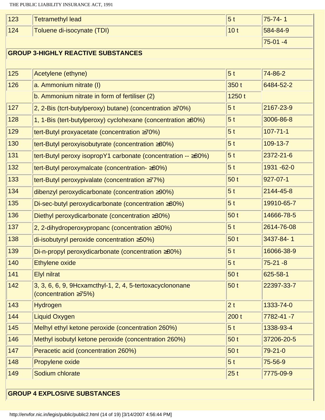#### THE PUBLIC LIABILITY INSURANCE ACT, 1991

| 123                                 | <b>Tetramethyl lead</b>                                                                  | 5 <sub>t</sub>  | $75 - 74 - 1$  |
|-------------------------------------|------------------------------------------------------------------------------------------|-----------------|----------------|
| 124                                 | Toluene di-isocynate (TDI)                                                               | 10 <sub>t</sub> | 584-84-9       |
|                                     |                                                                                          |                 | $75-01 -4$     |
|                                     | <b>GROUP 3-HIGHLY REACTIVE SUBSTANCES</b>                                                |                 |                |
|                                     |                                                                                          |                 |                |
| 125                                 | Acetylene (ethyne)                                                                       | 5 <sub>t</sub>  | 74-86-2        |
| 126                                 | a. Ammonium nitrate (I)                                                                  | 350t            | 6484-52-2      |
|                                     | b. Ammonium nitrate in form of fertiliser (2)                                            | 1250 t          |                |
| 127                                 | 2, 2-Bis (tcrt-butylperoxy) butane) (concentration $\geq 70\%)$                          | 5 <sub>t</sub>  | 2167-23-9      |
| 128                                 | 1, 1-Bis (tert-butylperoxy) cyclohexane (concentration $\geq 80\%$ )                     | 5 <sub>t</sub>  | 3006-86-8      |
| 129                                 | tert-Butyl proxyacetate (concentration $\geq 70\%)$                                      | 5 <sub>t</sub>  | $107 - 71 - 1$ |
| 130                                 | $tert$ -Butyl peroxyisobutyrate (concentration $\geq 80\%$ )                             | 5 <sub>t</sub>  | 109-13-7       |
| 131                                 | tert-Butyl peroxy isopropY1 carbonate (concentration -- ≥80%)                            | 5 <sub>t</sub>  | 2372-21-6      |
| 132                                 | tert-Butyl peroxymalcate (concentration- $\geq 80\%$ )                                   | 5 <sub>t</sub>  | 1931 - 62-0    |
| 133                                 | tert-Butyl peroxypivalate (concentration $\geq 77\%$ )                                   | 50 <sub>t</sub> | $927 - 07 - 1$ |
| 134                                 | dibenzyl peroxydicarbonate (concentration $\geq 90\%$ )                                  | 5 <sub>t</sub>  | 2144-45-8      |
| 135                                 | Di-sec-butyl peroxydicarbonate (concentration $\geq 80\%$ )                              | 5 <sub>t</sub>  | 19910-65-7     |
| 136                                 | Diethyl peroxydicarbonate (concentration $\geq 30\%$ )                                   | 50 <sub>t</sub> | 14666-78-5     |
| 137                                 | 2, 2-dihydroperoxypropanc (concentration ≥30%)                                           | 5 <sub>t</sub>  | 2614-76-08     |
| 138                                 | $di$ -isobutyryl peroxide concentration $\geq 50\%)$                                     | 50t             | 3437-84-1      |
| 139                                 | Di-n-propyl peroxydicarbonate (concentration ≥80%)                                       | 5 <sub>t</sub>  | 16066-38-9     |
| 140                                 | Ethylene oxide                                                                           | 5 <sub>t</sub>  | $75-21 - 8$    |
| 141                                 | <b>Elyl nilrat</b>                                                                       | 50t             | 625-58-1       |
| 142                                 | 3, 3, 6, 6, 9, 9Hcxamcthyl-1, 2, 4, 5-tertoxacyclononane<br>(concentration $\geq 75\%$ ) | 50 <sub>t</sub> | 22397-33-7     |
| 143                                 | <b>Hydrogen</b>                                                                          | 2 <sub>t</sub>  | 1333-74-0      |
| 144                                 | <b>Liquid Oxygen</b>                                                                     | 200 t           | 7782-41-7      |
| 145                                 | Melhyl ethyl ketone peroxide (concentration 260%)                                        | 5 <sub>t</sub>  | 1338-93-4      |
| 146                                 | Methyl isobutyl ketone peroxide (concentration 260%)                                     | 50 <sub>t</sub> | 37206-20-5     |
| 147                                 | Peracetic acid (concentration 260%)                                                      | 50 <sub>t</sub> | $79 - 21 - 0$  |
| 148                                 | Propylene oxide                                                                          | 5 <sub>t</sub>  | 75-56-9        |
| 149                                 | Sodium chlorate                                                                          | 25t             | 7775-09-9      |
| <b>GROUP 4 EXPLOSIVE SUBSTANCES</b> |                                                                                          |                 |                |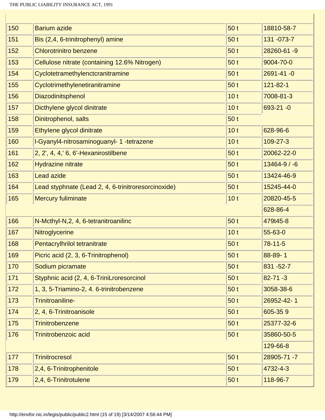| 150 | <b>Barium azide</b>                                 | 50 <sub>t</sub> | 18810-58-7       |
|-----|-----------------------------------------------------|-----------------|------------------|
| 151 | Bis (2,4, 6-trinitrophenyl) amine                   | 50 <sub>t</sub> | 131 - 073 - 7    |
| 152 | <b>Chlorotrinitro benzene</b>                       | 50 <sub>t</sub> | 28260-61-9       |
| 153 | Cellulose nitrate (containing 12.6% Nitrogen)       | 50 <sub>t</sub> | 9004-70-0        |
| 154 | Cyclotetramethylenctcranitramine                    | 50 <sub>t</sub> | $2691 - 41 - 0$  |
| 155 | Cyclotrimethylenetiranitramine                      | 50 <sub>t</sub> | 121-82-1         |
| 156 | Diazodinitsphenol                                   | 10 <sub>t</sub> | 7008-81-3        |
| 157 | Dicthylene glycol dinitrate                         | 10 <sub>t</sub> | $693 - 21 - 0$   |
| 158 | Dinitrophenol, salts                                | 50 <sub>t</sub> |                  |
| 159 | Ethylene glycol dinitrate                           | 10 <sub>t</sub> | 628-96-6         |
| 160 | I-Gyanyl4-nitrosaminoguanyl- 1 -tetrazene           | 10 <sub>t</sub> | 109-27-3         |
| 161 | 2, 2', 4, 4, 6, 6'-Hexanirostilbene                 | 50 <sub>t</sub> | 20062-22-0       |
| 162 | <b>Hydrazine nitrate</b>                            | 50 <sub>t</sub> | $13464 - 9 / -6$ |
| 163 | Lead azide                                          | 50 <sub>t</sub> | 13424-46-9       |
| 164 | Lead styphnate (Lead 2, 4, 6-trinitroresorcinoxide) | 50 <sub>t</sub> | 15245-44-0       |
| 165 | <b>Mercury fuliminate</b>                           | 10 <sub>t</sub> | 20820-45-5       |
|     |                                                     |                 | 628-86-4         |
| 166 | N-Mcthyl-N,2, 4, 6-tetranitroanilinc                | 50t             | 479t45-8         |
| 167 | Nitroglycerine                                      | 10 <sub>t</sub> | $55 - 63 - 0$    |
| 168 | Pentacrylhrilol tetranitrate                        | 50 <sub>t</sub> | $78 - 11 - 5$    |
| 169 | Picric acid (2, 3, 6-Trinitrophenol)                | 50 <sub>t</sub> | $88 - 89 - 1$    |
| 170 | Sodium picramate                                    | 50 <sub>t</sub> | 831-52-7         |
| 171 | Styphnic acid (2, 4, 6-TriniLroresorcinol           | 50t             | $82 - 71 - 3$    |
| 172 | 1, 3, 5-Triamino-2, 4. 6-trinitrobenzene            | 50t             | 3058-38-6        |
| 173 | Trinitroaniline-                                    | 50 <sub>t</sub> | 26952-42-1       |
| 174 | 2, 4, 6-Trinitroanisole                             | 50t             | 605-359          |
| 175 | <b>Trinitrobenzene</b>                              | 50 <sub>t</sub> | 25377-32-6       |
| 176 | Trinitrobenzoic acid                                | 50t             | 35860-50-5       |
|     |                                                     |                 | 129-66-8         |
| 177 | <b>Trinitrocresol</b>                               | 50t             | 28905-71-7       |
| 178 | 2,4, 6-Trinitrophenitole                            | 50 <sub>t</sub> | 4732-4-3         |
| 179 | 2,4, 6-Trinitrotulene                               | 50t             | 118-96-7         |
|     |                                                     |                 |                  |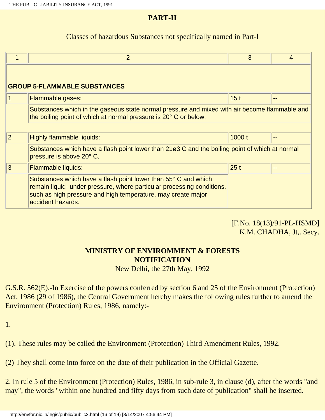### **PART-II**

#### Classes of hazardous Substances not specifically named in Part-l

|                                     | $\overline{2}$                                                                                                                                                                                                                | 3               | 4  |
|-------------------------------------|-------------------------------------------------------------------------------------------------------------------------------------------------------------------------------------------------------------------------------|-----------------|----|
| <b>GROUP 5-FLAMMABLE SUBSTANCES</b> |                                                                                                                                                                                                                               |                 |    |
| $\overline{1}$                      | Flammable gases:                                                                                                                                                                                                              | 15 <sub>t</sub> | -- |
|                                     | Substances which in the gaseous state normal pressure and mixed with air become flammable and<br>the boiling point of which at normal pressure is 20° C or below;                                                             |                 |    |
| 2                                   | Highly flammable liquids:                                                                                                                                                                                                     | 1000t           |    |
|                                     | Substances which have a flash point lower than 21ø3 C and the boiling point of which at normal<br>pressure is above 20° C,                                                                                                    |                 |    |
| 3                                   | Flammable liquids:                                                                                                                                                                                                            | 25 <sub>t</sub> |    |
|                                     | Substances which have a flash point lower than 55° C and which<br>remain liquid- under pressure, where particular processing conditions,<br>such as high pressure and high temperature, may create major<br>accident hazards. |                 |    |

[F.No. 18(13)/91-PL-HSMD] K.M. CHADHA, Jt,. Secy.

## **MINISTRY OF ENVIROMMENT & FORESTS NOTIFICATION**

New Delhi, the 27th May, 1992

G.S.R. 562(E).-In Exercise of the powers conferred by section 6 and 25 of the Environment (Protection) Act, 1986 (29 of 1986), the Central Government hereby makes the following rules further to amend the Environment (Protection) Rules, 1986, namely:-

1.

(1). These rules may be called the Environment (Protection) Third Amendment Rules, 1992.

(2) They shall come into force on the date of their publication in the Official Gazette.

2. In rule 5 of the Environment (Protection) Rules, 1986, in sub-rule 3, in clause (d), after the words "and may", the words "within one hundred and fifty days from such date of publication" shall he inserted.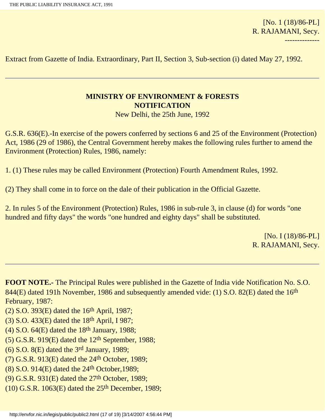Extract from Gazette of India. Extraordinary, Part II, Section 3, Sub-section (i) dated May 27, 1992.

## **MINISTRY OF ENVIRONMENT & FORESTS NOTIFICATION**

New Delhi, the 25th June, 1992

G.S.R. 636(E).-In exercise of the powers conferred by sections 6 and 25 of the Environment (Protection) Act, 1986 (29 of 1986), the Central Government hereby makes the following rules further to amend the Environment (Protection) Rules, 1986, namely:

1. (1) These rules may be called Environment (Protection) Fourth Amendment Rules, 1992.

(2) They shall come in to force on the dale of their publication in the Official Gazette.

2. In rules 5 of the Environment (Protection) Rules, 1986 in sub-rule 3, in clause (d) for words "one hundred and fifty days" the words "one hundred and eighty days" shall be substituted.

> [No. I (18)/86-PL] R. RAJAMANI, Secy.

**FOOT NOTE.-** The Principal Rules were published in the Gazette of India vide Notification No. S.O. 844(E) dated 191h November, 1986 and subsequently amended vide: (1) S.O. 82(E) dated the 16<sup>th</sup> February, 1987:

(2) S.O. 393(E) dated the 16th April, 1987;

(3) S.O. 433(E) dated the 18th April, I 987;

(4) S.O.  $64(E)$  dated the 18<sup>th</sup> January, 1988;

 $(5)$  G.S.R. 919(E) dated the 12<sup>th</sup> September, 1988;

 $(6)$  S.O. 8(E) dated the 3<sup>rd</sup> January, 1989;

 $(7)$  G.S.R. 913(E) dated the 24<sup>th</sup> October, 1989;

(8) S.O. 914(E) dated the 24th October,1989;

(9) G.S.R. 931(E) dated the 27th October, 1989;

 $(10)$  G.S.R. 1063(E) dated the 25<sup>th</sup> December, 1989;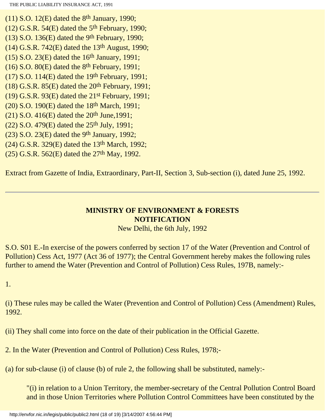$(11)$  S.O. 12(E) dated the 8<sup>th</sup> January, 1990; (12) G.S.R.  $54(E)$  dated the  $5<sup>th</sup>$  February, 1990;  $(13)$  S.O. 136(E) dated the 9<sup>th</sup> February, 1990; (14) G.S.R. 742 $(E)$  dated the 13<sup>th</sup> August, 1990;  $(15)$  S.O. 23(E) dated the 16<sup>th</sup> January, 1991;  $(16)$  S.O. 80 $(E)$  dated the 8<sup>th</sup> February, 1991;  $(17)$  S.O. 114(E) dated the 19<sup>th</sup> February, 1991;  $(18)$  G.S.R.  $85(E)$  dated the  $20<sup>th</sup>$  February, 1991;  $(19)$  G.S.R.  $93(E)$  dated the  $21<sup>st</sup>$  February, 1991; (20) S.O. 190(E) dated the 18th March, 1991;  $(21)$  S.O. 416(E) dated the 20<sup>th</sup> June, 1991;  $(22)$  S.O. 479 $(E)$  dated the 25<sup>th</sup> July, 1991;  $(23)$  S.O. 23(E) dated the 9<sup>th</sup> January, 1992; (24) G.S.R. 329(E) dated the 13th March, 1992;  $(25)$  G.S.R. 562(E) dated the 27<sup>th</sup> May, 1992.

Extract from Gazette of India, Extraordinary, Part-II, Section 3, Sub-section (i), dated June 25, 1992.

## **MINISTRY OF ENVIRONMENT & FORESTS NOTIFICATION**

New Delhi, the 6th July, 1992

S.O. S01 E.-In exercise of the powers conferred by section 17 of the Water (Prevention and Control of Pollution) Cess Act, 1977 (Act 36 of 1977); the Central Government hereby makes the following rules further to amend the Water (Prevention and Control of Pollution) Cess Rules, 197B, namely:-

1.

(i) These rules may be called the Water (Prevention and Control of Pollution) Cess (Amendment) Rules, 1992.

(ii) They shall come into force on the date of their publication in the Official Gazette.

2. In the Water (Prevention and Control of Pollution) Cess Rules, 1978;-

(a) for sub-clause (i) of clause (b) of rule 2, the following shall be substituted, namely:-

"(i) in relation to a Union Territory, the member-secretary of the Central Pollution Control Board and in those Union Territories where Pollution Control Committees have been constituted by the